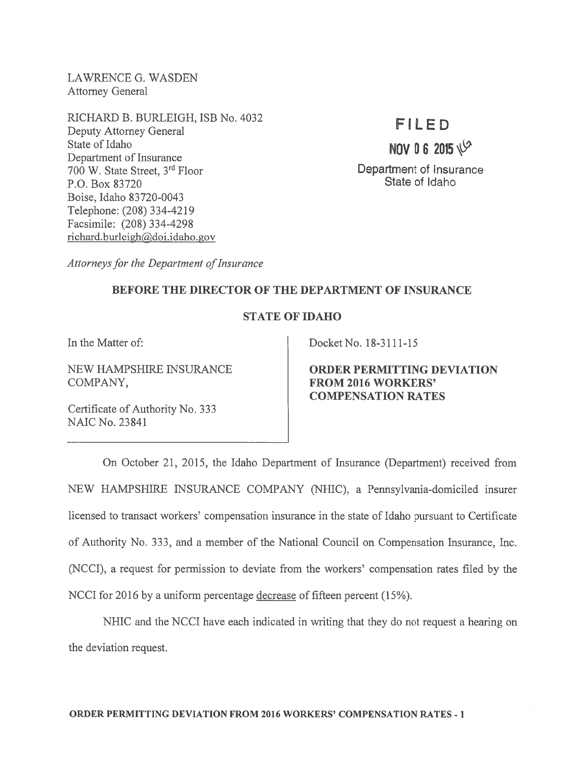LAWRENCE G. WASDEN Attorney General

RICHARD B. BURLEIGH, ISB No. 4032 Deputy Attorney General State of Idaho Department of Insurance <sup>700</sup> W. State Street, 3rd Floor P.O. Box 83720 Boise, Idaho 83720-0043 Telephone: (208) 334-4219 Facsimile: (208) 334-4298 richard.burleigh@doi.idaho.gov

## FILED

NOV 0 6 2015 $\sqrt{2}$ 

Department of Insurance State of Idaho

Attorneys for the Department of Insurance

## BEFORE THE DIRECTOR OF THE DEPARTMENT OF INSURANCE

## STATE OF IDAHO

COMPANY, FROM 2016 WORKERS'

Certificate of Authority No. 333 NAIC No. 23841

In the Matter of: Docket No. 18-3111-15

NEW HAMPSHIRE INSURANCE **ORDER PERMITTING DEVIATION** COMPENSATION RATES

On October 21, 2015, the Idaho Department of Insurance (Department) received from NEW HAMPSHIRE INSURANCE COMPANY (NHIC), <sup>a</sup> Pennsylvania-domiciled insurer licensed to transact workers' compensation insurance in the state of Idaho pursuan<sup>t</sup> to Certificate of Authority No. 333, and <sup>a</sup> member of the National Council on Compensation Insurance, Inc. (NCCI), <sup>a</sup> reques<sup>t</sup> for permission to deviate from the workers' compensation rates filed by the NCCI for 2016 by <sup>a</sup> uniform percentage decrease of fifteen percen<sup>t</sup> (15%).

NHIC and the NCCI have each indicated in writing that they do not reques<sup>t</sup> <sup>a</sup> hearing on the deviation request.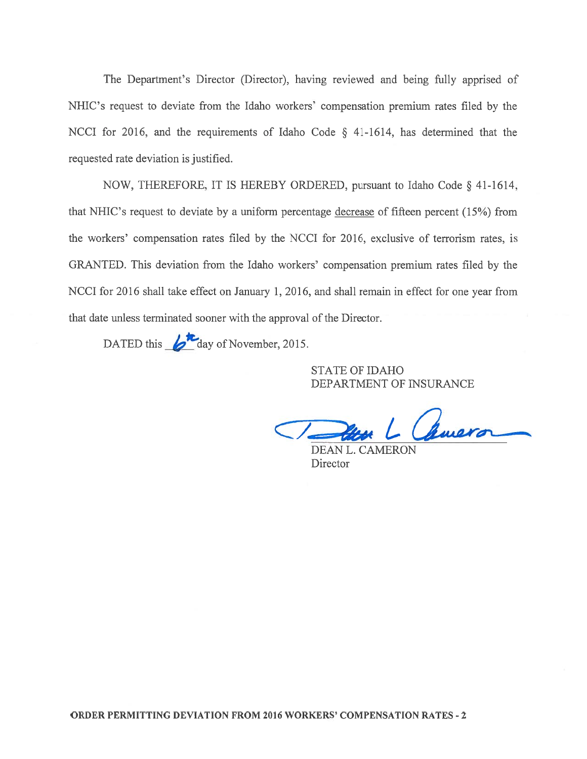The Department's Director (Director), having reviewed and being fully apprised of NHIC's reques<sup>t</sup> to deviate from the Idaho workers' compensation premium rates filed by the NCCI for 2016, and the requirements of Idaho Code § 41-1614, has determined that the requested rate deviation is justified.

NOW, THEREFORE, IT IS HEREBY ORDERED, pursuan<sup>t</sup> to Idaho Code § 41-1614, that NHIC's reques<sup>t</sup> to deviate by <sup>a</sup> uniform percentage decrease of fifteen percen<sup>t</sup> (15%) from the workers' compensation rates filed by the NCCI for 2016, exclusive of terrorism rates, is GRANTED. This deviation from the Idaho workers' compensation premium rates filed by the NCCI for 2016 shall take effect on January 1, 2016, and shall remain in effect for one year from that date unless terminated sooner with the approval of the Director.

DATED this  $\mathcal{L}_{\text{day of November, 2015.}}$ 

STATE OF IDAHO DEPARTMENT OF INSURANCE

Chavera

DEAN L. CAMERON **Director**